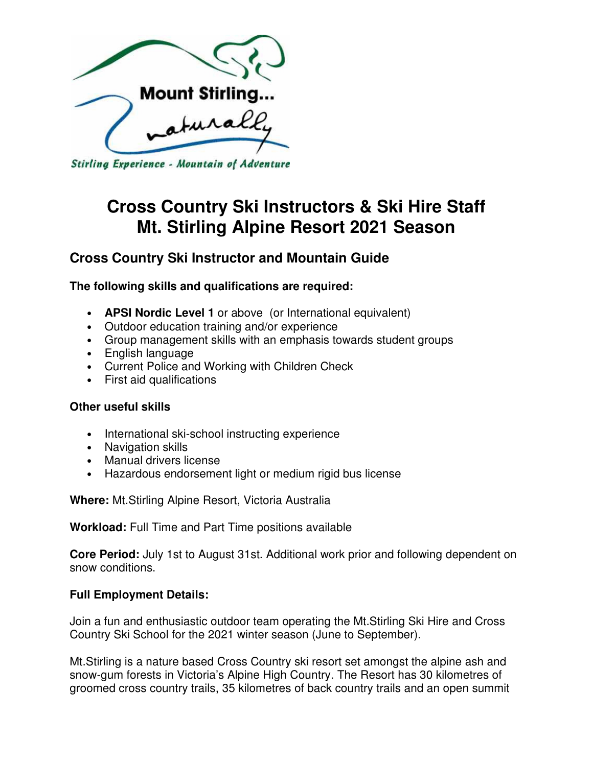

Stirling Experience - Mountain of Adventure

# **Cross Country Ski Instructors & Ski Hire Staff Mt. Stirling Alpine Resort 2021 Season**

## **Cross Country Ski Instructor and Mountain Guide**

## **The following skills and qualifications are required:**

- **APSI Nordic Level 1** or above (or International equivalent)
- Outdoor education training and/or experience
- Group management skills with an emphasis towards student groups
- English language
- Current Police and Working with Children Check
- First aid qualifications

## **Other useful skills**

- International ski-school instructing experience
- Navigation skills
- Manual drivers license
- Hazardous endorsement light or medium rigid bus license

**Where:** Mt.Stirling Alpine Resort, Victoria Australia

**Workload:** Full Time and Part Time positions available

**Core Period:** July 1st to August 31st. Additional work prior and following dependent on snow conditions.

## **Full Employment Details:**

Join a fun and enthusiastic outdoor team operating the Mt.Stirling Ski Hire and Cross Country Ski School for the 2021 winter season (June to September).

Mt.Stirling is a nature based Cross Country ski resort set amongst the alpine ash and snow-gum forests in Victoria's Alpine High Country. The Resort has 30 kilometres of groomed cross country trails, 35 kilometres of back country trails and an open summit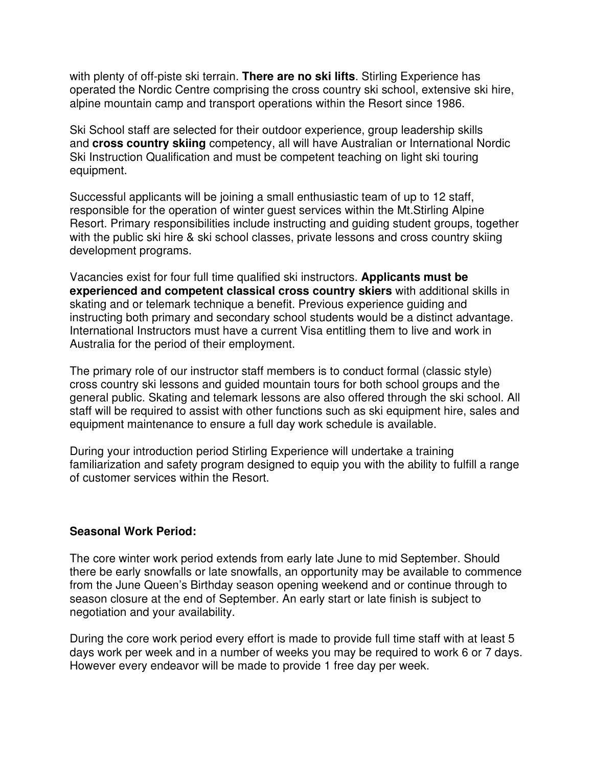with plenty of off-piste ski terrain. **There are no ski lifts**. Stirling Experience has operated the Nordic Centre comprising the cross country ski school, extensive ski hire, alpine mountain camp and transport operations within the Resort since 1986.

Ski School staff are selected for their outdoor experience, group leadership skills and **cross country skiing** competency, all will have Australian or International Nordic Ski Instruction Qualification and must be competent teaching on light ski touring equipment.

Successful applicants will be joining a small enthusiastic team of up to 12 staff, responsible for the operation of winter guest services within the Mt.Stirling Alpine Resort. Primary responsibilities include instructing and guiding student groups, together with the public ski hire & ski school classes, private lessons and cross country skiing development programs.

Vacancies exist for four full time qualified ski instructors. **Applicants must be experienced and competent classical cross country skiers** with additional skills in skating and or telemark technique a benefit. Previous experience guiding and instructing both primary and secondary school students would be a distinct advantage. International Instructors must have a current Visa entitling them to live and work in Australia for the period of their employment.

The primary role of our instructor staff members is to conduct formal (classic style) cross country ski lessons and guided mountain tours for both school groups and the general public. Skating and telemark lessons are also offered through the ski school. All staff will be required to assist with other functions such as ski equipment hire, sales and equipment maintenance to ensure a full day work schedule is available.

During your introduction period Stirling Experience will undertake a training familiarization and safety program designed to equip you with the ability to fulfill a range of customer services within the Resort.

## **Seasonal Work Period:**

The core winter work period extends from early late June to mid September. Should there be early snowfalls or late snowfalls, an opportunity may be available to commence from the June Queen's Birthday season opening weekend and or continue through to season closure at the end of September. An early start or late finish is subject to negotiation and your availability.

During the core work period every effort is made to provide full time staff with at least 5 days work per week and in a number of weeks you may be required to work 6 or 7 days. However every endeavor will be made to provide 1 free day per week.